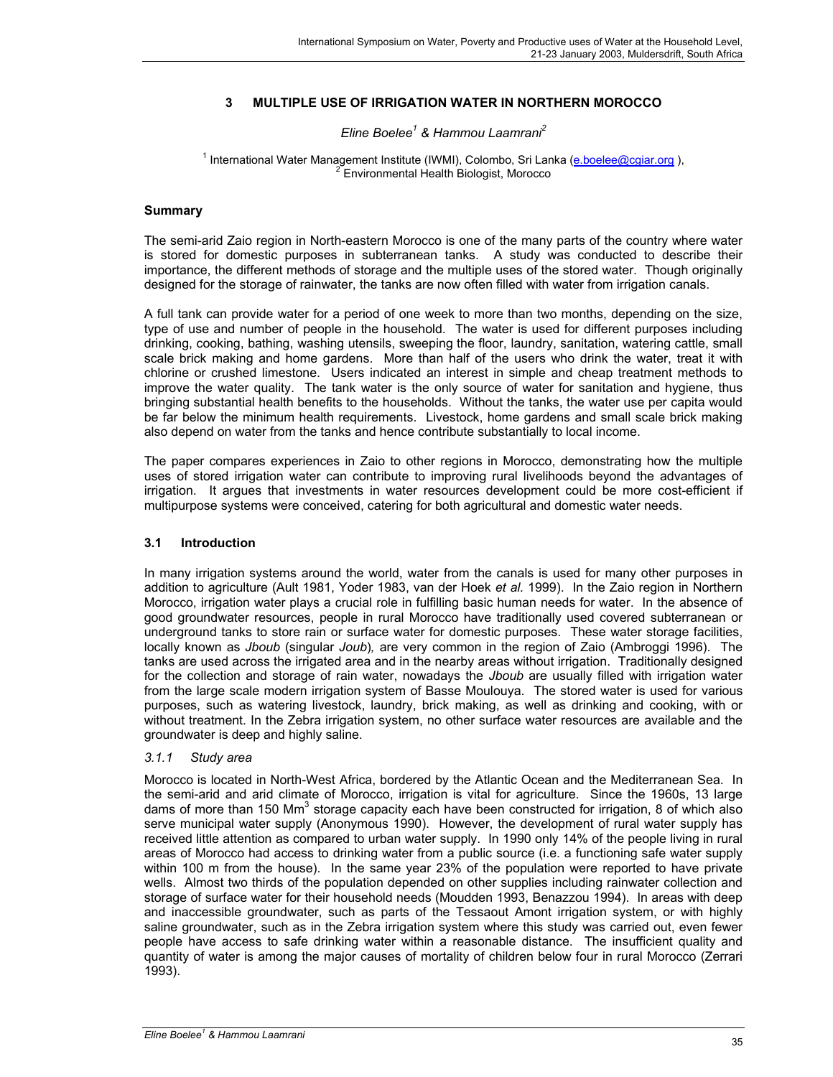## **3 MULTIPLE USE OF IRRIGATION WATER IN NORTHERN MOROCCO**

### *Eline Boelee1 & Hammou Laamrani2*

#### <sup>1</sup> International Water Management Institute (IWMI), Colombo, Sri Lanka (**e.boelee@cgiar.org**), Environmental Health Biologist, Morocco

### **Summary**

The semi-arid Zaio region in North-eastern Morocco is one of the many parts of the country where water is stored for domestic purposes in subterranean tanks. A study was conducted to describe their importance, the different methods of storage and the multiple uses of the stored water. Though originally designed for the storage of rainwater, the tanks are now often filled with water from irrigation canals.

A full tank can provide water for a period of one week to more than two months, depending on the size, type of use and number of people in the household. The water is used for different purposes including drinking, cooking, bathing, washing utensils, sweeping the floor, laundry, sanitation, watering cattle, small scale brick making and home gardens. More than half of the users who drink the water, treat it with chlorine or crushed limestone. Users indicated an interest in simple and cheap treatment methods to improve the water quality. The tank water is the only source of water for sanitation and hygiene, thus bringing substantial health benefits to the households. Without the tanks, the water use per capita would be far below the minimum health requirements. Livestock, home gardens and small scale brick making also depend on water from the tanks and hence contribute substantially to local income.

The paper compares experiences in Zaio to other regions in Morocco, demonstrating how the multiple uses of stored irrigation water can contribute to improving rural livelihoods beyond the advantages of irrigation. It argues that investments in water resources development could be more cost-efficient if multipurpose systems were conceived, catering for both agricultural and domestic water needs.

### **3.1 Introduction**

In many irrigation systems around the world, water from the canals is used for many other purposes in addition to agriculture (Ault 1981, Yoder 1983, van der Hoek *et al.* 1999). In the Zaio region in Northern Morocco, irrigation water plays a crucial role in fulfilling basic human needs for water. In the absence of good groundwater resources, people in rural Morocco have traditionally used covered subterranean or underground tanks to store rain or surface water for domestic purposes. These water storage facilities, locally known as *Jboub* (singular *Joub*)*,* are very common in the region of Zaio (Ambroggi 1996). The tanks are used across the irrigated area and in the nearby areas without irrigation. Traditionally designed for the collection and storage of rain water, nowadays the *Jboub* are usually filled with irrigation water from the large scale modern irrigation system of Basse Moulouya. The stored water is used for various purposes, such as watering livestock, laundry, brick making, as well as drinking and cooking, with or without treatment. In the Zebra irrigation system, no other surface water resources are available and the groundwater is deep and highly saline.

## *3.1.1 Study area*

Morocco is located in North-West Africa, bordered by the Atlantic Ocean and the Mediterranean Sea. In the semi-arid and arid climate of Morocco, irrigation is vital for agriculture. Since the 1960s, 13 large dams of more than 150 Mm<sup>3</sup> storage capacity each have been constructed for irrigation, 8 of which also serve municipal water supply (Anonymous 1990). However, the development of rural water supply has received little attention as compared to urban water supply. In 1990 only 14% of the people living in rural areas of Morocco had access to drinking water from a public source (i.e. a functioning safe water supply within 100 m from the house). In the same year 23% of the population were reported to have private wells. Almost two thirds of the population depended on other supplies including rainwater collection and storage of surface water for their household needs (Moudden 1993, Benazzou 1994). In areas with deep and inaccessible groundwater, such as parts of the Tessaout Amont irrigation system, or with highly saline groundwater, such as in the Zebra irrigation system where this study was carried out, even fewer people have access to safe drinking water within a reasonable distance. The insufficient quality and quantity of water is among the major causes of mortality of children below four in rural Morocco (Zerrari 1993).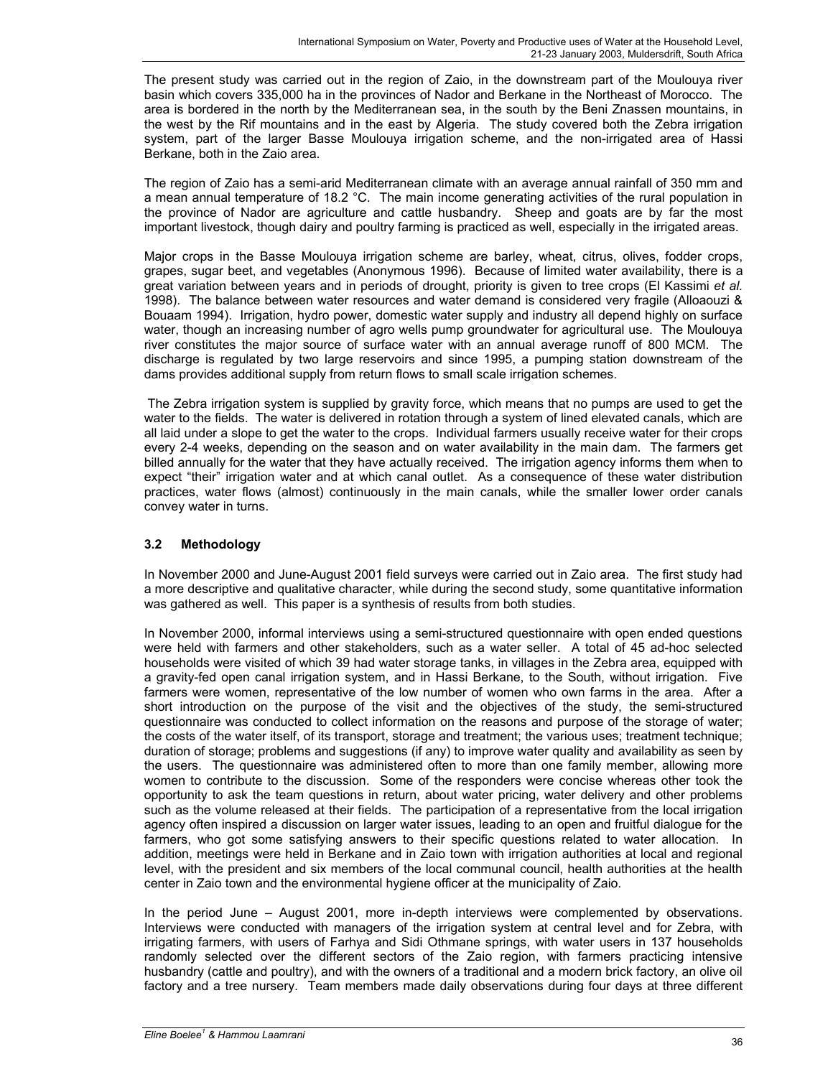The present study was carried out in the region of Zaio, in the downstream part of the Moulouya river basin which covers 335,000 ha in the provinces of Nador and Berkane in the Northeast of Morocco. The area is bordered in the north by the Mediterranean sea, in the south by the Beni Znassen mountains, in the west by the Rif mountains and in the east by Algeria. The study covered both the Zebra irrigation system, part of the larger Basse Moulouya irrigation scheme, and the non-irrigated area of Hassi Berkane, both in the Zaio area.

The region of Zaio has a semi-arid Mediterranean climate with an average annual rainfall of 350 mm and a mean annual temperature of 18.2 °C. The main income generating activities of the rural population in the province of Nador are agriculture and cattle husbandry. Sheep and goats are by far the most important livestock, though dairy and poultry farming is practiced as well, especially in the irrigated areas.

Major crops in the Basse Moulouya irrigation scheme are barley, wheat, citrus, olives, fodder crops, grapes, sugar beet, and vegetables (Anonymous 1996). Because of limited water availability, there is a great variation between years and in periods of drought, priority is given to tree crops (El Kassimi *et al.* 1998). The balance between water resources and water demand is considered very fragile (Alloaouzi & Bouaam 1994). Irrigation, hydro power, domestic water supply and industry all depend highly on surface water, though an increasing number of agro wells pump groundwater for agricultural use. The Moulouya river constitutes the major source of surface water with an annual average runoff of 800 MCM. The discharge is regulated by two large reservoirs and since 1995, a pumping station downstream of the dams provides additional supply from return flows to small scale irrigation schemes.

 The Zebra irrigation system is supplied by gravity force, which means that no pumps are used to get the water to the fields. The water is delivered in rotation through a system of lined elevated canals, which are all laid under a slope to get the water to the crops. Individual farmers usually receive water for their crops every 2-4 weeks, depending on the season and on water availability in the main dam. The farmers get billed annually for the water that they have actually received. The irrigation agency informs them when to expect "their" irrigation water and at which canal outlet. As a consequence of these water distribution practices, water flows (almost) continuously in the main canals, while the smaller lower order canals convey water in turns.

## **3.2 Methodology**

In November 2000 and June-August 2001 field surveys were carried out in Zaio area. The first study had a more descriptive and qualitative character, while during the second study, some quantitative information was gathered as well. This paper is a synthesis of results from both studies.

In November 2000, informal interviews using a semi-structured questionnaire with open ended questions were held with farmers and other stakeholders, such as a water seller. A total of 45 ad-hoc selected households were visited of which 39 had water storage tanks, in villages in the Zebra area, equipped with a gravity-fed open canal irrigation system, and in Hassi Berkane, to the South, without irrigation. Five farmers were women, representative of the low number of women who own farms in the area. After a short introduction on the purpose of the visit and the objectives of the study, the semi-structured questionnaire was conducted to collect information on the reasons and purpose of the storage of water; the costs of the water itself, of its transport, storage and treatment; the various uses; treatment technique; duration of storage; problems and suggestions (if any) to improve water quality and availability as seen by the users. The questionnaire was administered often to more than one family member, allowing more women to contribute to the discussion. Some of the responders were concise whereas other took the opportunity to ask the team questions in return, about water pricing, water delivery and other problems such as the volume released at their fields. The participation of a representative from the local irrigation agency often inspired a discussion on larger water issues, leading to an open and fruitful dialogue for the farmers, who got some satisfying answers to their specific questions related to water allocation. In addition, meetings were held in Berkane and in Zaio town with irrigation authorities at local and regional level, with the president and six members of the local communal council, health authorities at the health center in Zaio town and the environmental hygiene officer at the municipality of Zaio.

In the period June – August 2001, more in-depth interviews were complemented by observations. Interviews were conducted with managers of the irrigation system at central level and for Zebra, with irrigating farmers, with users of Farhya and Sidi Othmane springs, with water users in 137 households randomly selected over the different sectors of the Zaio region, with farmers practicing intensive husbandry (cattle and poultry), and with the owners of a traditional and a modern brick factory, an olive oil factory and a tree nursery. Team members made daily observations during four days at three different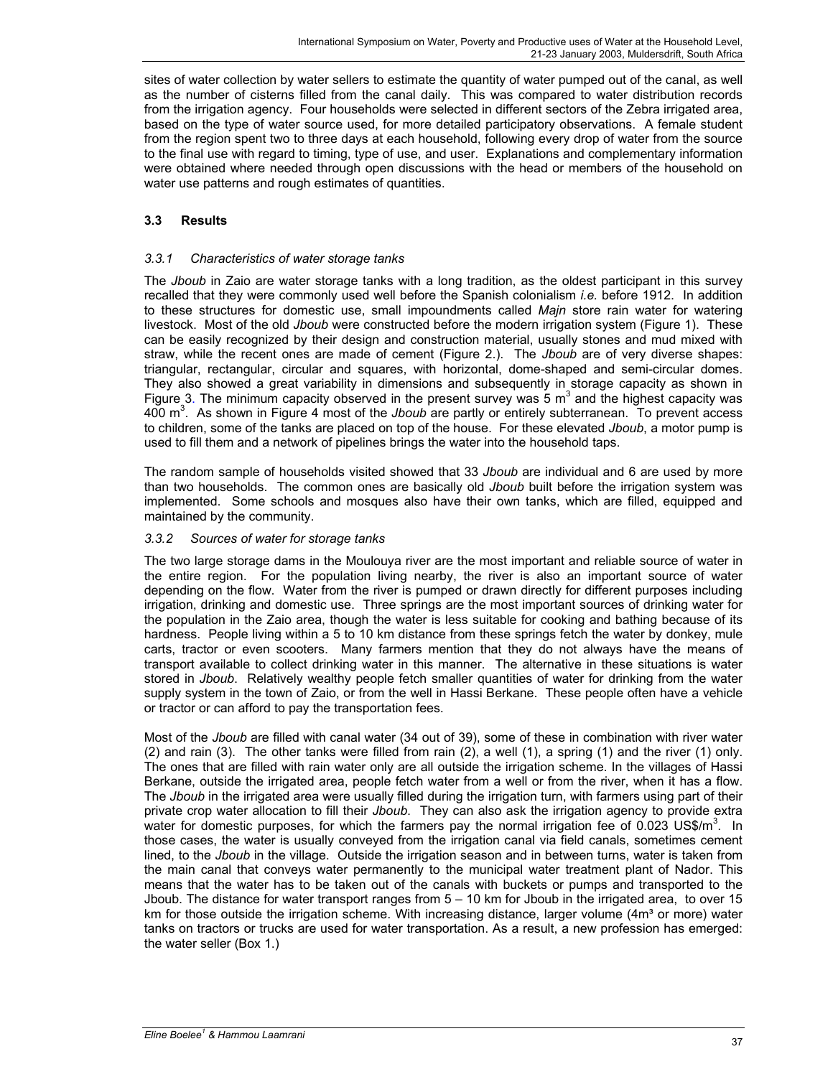sites of water collection by water sellers to estimate the quantity of water pumped out of the canal, as well as the number of cisterns filled from the canal daily. This was compared to water distribution records from the irrigation agency. Four households were selected in different sectors of the Zebra irrigated area, based on the type of water source used, for more detailed participatory observations. A female student from the region spent two to three days at each household, following every drop of water from the source to the final use with regard to timing, type of use, and user. Explanations and complementary information were obtained where needed through open discussions with the head or members of the household on water use patterns and rough estimates of quantities.

## **3.3 Results**

## *3.3.1 Characteristics of water storage tanks*

The *Jboub* in Zaio are water storage tanks with a long tradition, as the oldest participant in this survey recalled that they were commonly used well before the Spanish colonialism *i.e.* before 1912. In addition to these structures for domestic use, small impoundments called *Majn* store rain water for watering livestock. Most of the old *Jboub* were constructed before the modern irrigation system (Figure 1). These can be easily recognized by their design and construction material, usually stones and mud mixed with straw, while the recent ones are made of cement (Figure 2.). The *Jboub* are of very diverse shapes: triangular, rectangular, circular and squares, with horizontal, dome-shaped and semi-circular domes. They also showed a great variability in dimensions and subsequently in storage capacity as shown in Figure 3. The minimum capacity observed in the present survey was  $5 \text{ m}^3$  and the highest capacity was 400 m3 . As shown in Figure 4 most of the *Jboub* are partly or entirely subterranean. To prevent access to children, some of the tanks are placed on top of the house. For these elevated *Jboub*, a motor pump is used to fill them and a network of pipelines brings the water into the household taps.

The random sample of households visited showed that 33 *Jboub* are individual and 6 are used by more than two households. The common ones are basically old *Jboub* built before the irrigation system was implemented. Some schools and mosques also have their own tanks, which are filled, equipped and maintained by the community.

## *3.3.2 Sources of water for storage tanks*

The two large storage dams in the Moulouya river are the most important and reliable source of water in the entire region. For the population living nearby, the river is also an important source of water depending on the flow. Water from the river is pumped or drawn directly for different purposes including irrigation, drinking and domestic use. Three springs are the most important sources of drinking water for the population in the Zaio area, though the water is less suitable for cooking and bathing because of its hardness. People living within a 5 to 10 km distance from these springs fetch the water by donkey, mule carts, tractor or even scooters. Many farmers mention that they do not always have the means of transport available to collect drinking water in this manner. The alternative in these situations is water stored in *Jboub*. Relatively wealthy people fetch smaller quantities of water for drinking from the water supply system in the town of Zaio, or from the well in Hassi Berkane. These people often have a vehicle or tractor or can afford to pay the transportation fees.

Most of the *Jboub* are filled with canal water (34 out of 39), some of these in combination with river water (2) and rain (3). The other tanks were filled from rain (2), a well (1), a spring (1) and the river (1) only. The ones that are filled with rain water only are all outside the irrigation scheme. In the villages of Hassi Berkane, outside the irrigated area, people fetch water from a well or from the river, when it has a flow. The *Jboub* in the irrigated area were usually filled during the irrigation turn, with farmers using part of their private crop water allocation to fill their *Jboub*. They can also ask the irrigation agency to provide extra water for domestic purposes, for which the farmers pay the normal irrigation fee of 0.023 US\$/m<sup>3</sup>. In those cases, the water is usually conveyed from the irrigation canal via field canals, sometimes cement lined, to the *Jboub* in the village. Outside the irrigation season and in between turns, water is taken from the main canal that conveys water permanently to the municipal water treatment plant of Nador. This means that the water has to be taken out of the canals with buckets or pumps and transported to the Jboub. The distance for water transport ranges from 5 – 10 km for Jboub in the irrigated area, to over 15 km for those outside the irrigation scheme. With increasing distance, larger volume  $(4m<sup>3</sup>$  or more) water tanks on tractors or trucks are used for water transportation. As a result, a new profession has emerged: the water seller (Box 1.)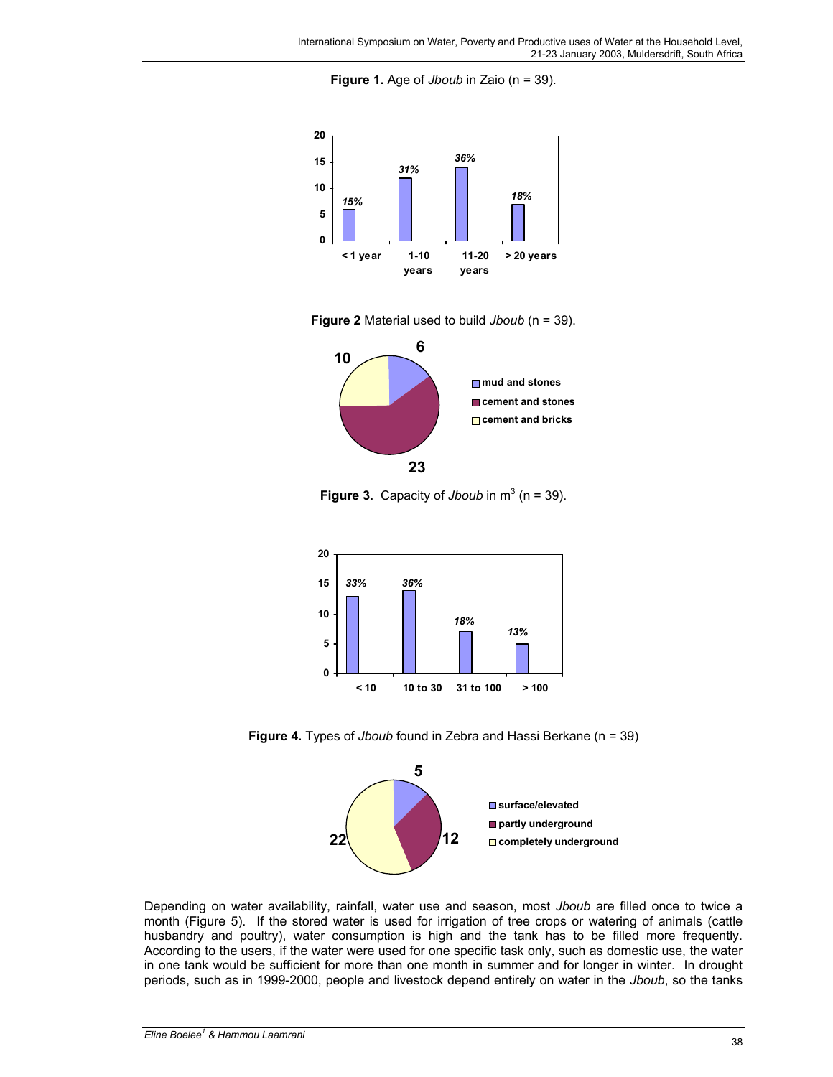**Figure 1.** Age of *Jboub* in Zaio (n = 39).



**Figure 2** Material used to build *Jboub* (n = 39).



**Figure 3.** Capacity of *Jboub* in  $m^3$  (n = 39).



**Figure 4.** Types of *Jboub* found in Zebra and Hassi Berkane (n = 39)



Depending on water availability, rainfall, water use and season, most *Jboub* are filled once to twice a month (Figure 5). If the stored water is used for irrigation of tree crops or watering of animals (cattle husbandry and poultry), water consumption is high and the tank has to be filled more frequently. According to the users, if the water were used for one specific task only, such as domestic use, the water in one tank would be sufficient for more than one month in summer and for longer in winter. In drought periods, such as in 1999-2000, people and livestock depend entirely on water in the *Jboub*, so the tanks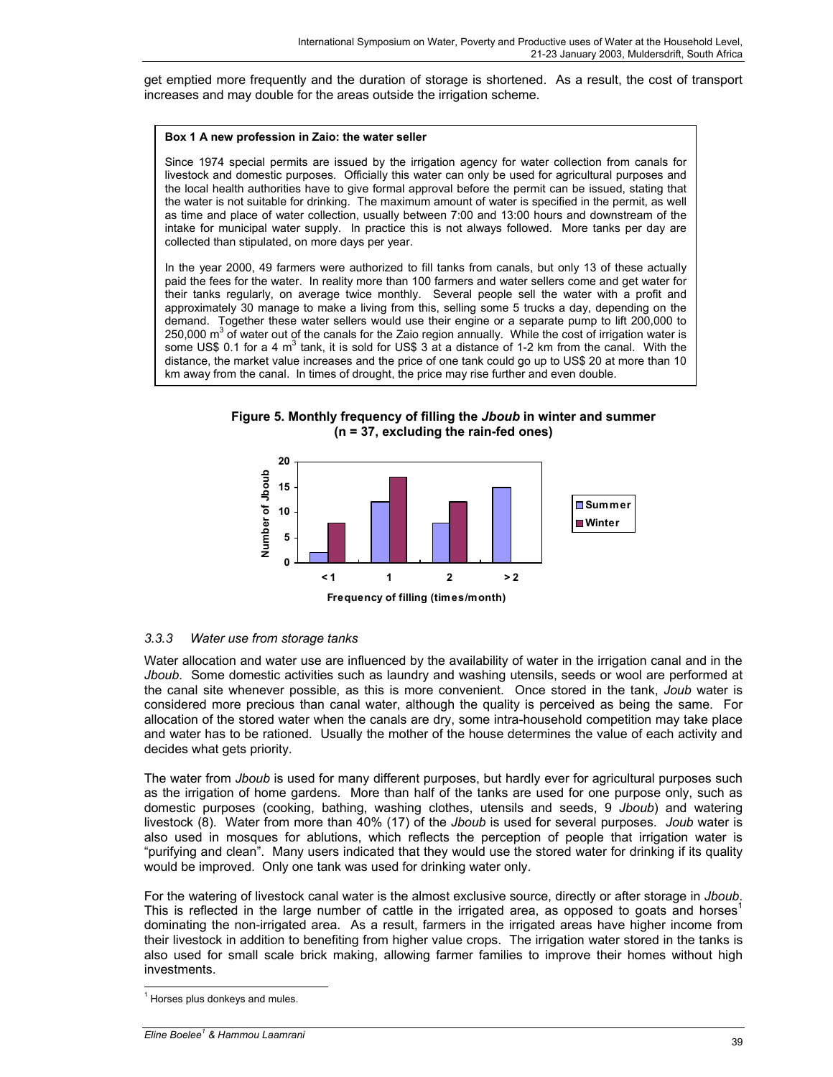get emptied more frequently and the duration of storage is shortened. As a result, the cost of transport increases and may double for the areas outside the irrigation scheme.

#### **Box 1 A new profession in Zaio: the water seller**

Since 1974 special permits are issued by the irrigation agency for water collection from canals for livestock and domestic purposes. Officially this water can only be used for agricultural purposes and the local health authorities have to give formal approval before the permit can be issued, stating that the water is not suitable for drinking. The maximum amount of water is specified in the permit, as well as time and place of water collection, usually between 7:00 and 13:00 hours and downstream of the intake for municipal water supply. In practice this is not always followed. More tanks per day are collected than stipulated, on more days per year.

In the year 2000, 49 farmers were authorized to fill tanks from canals, but only 13 of these actually paid the fees for the water. In reality more than 100 farmers and water sellers come and get water for their tanks regularly, on average twice monthly. Several people sell the water with a profit and approximately 30 manage to make a living from this, selling some 5 trucks a day, depending on the demand. Together these water sellers would use their engine or a separate pump to lift 200,000 to 250,000  $\text{m}^3$  of water out of the canals for the Zaio region annually. While the cost of irrigation water is some US\$ 0.1 for a 4 m<sup>3</sup> tank, it is sold for US\$ 3 at a distance of 1-2 km from the canal. With the distance, the market value increases and the price of one tank could go up to US\$ 20 at more than 10 km away from the canal. In times of drought, the price may rise further and even double.

**Figure 5. Monthly frequency of filling the** *Jboub* **in winter and summer (n = 37, excluding the rain-fed ones)** 



## *3.3.3 Water use from storage tanks*

Water allocation and water use are influenced by the availability of water in the irrigation canal and in the *Jboub*. Some domestic activities such as laundry and washing utensils, seeds or wool are performed at the canal site whenever possible, as this is more convenient. Once stored in the tank, *Joub* water is considered more precious than canal water, although the quality is perceived as being the same. For allocation of the stored water when the canals are dry, some intra-household competition may take place and water has to be rationed. Usually the mother of the house determines the value of each activity and decides what gets priority.

The water from *Jboub* is used for many different purposes, but hardly ever for agricultural purposes such as the irrigation of home gardens. More than half of the tanks are used for one purpose only, such as domestic purposes (cooking, bathing, washing clothes, utensils and seeds, 9 *Jboub*) and watering livestock (8). Water from more than 40% (17) of the *Jboub* is used for several purposes. *Joub* water is also used in mosques for ablutions, which reflects the perception of people that irrigation water is "purifying and clean". Many users indicated that they would use the stored water for drinking if its quality would be improved. Only one tank was used for drinking water only.

For the watering of livestock canal water is the almost exclusive source, directly or after storage in *Jboub*. This is reflected in the large number of cattle in the irrigated area, as opposed to goats and horses<sup>1</sup> dominating the non-irrigated area. As a result, farmers in the irrigated areas have higher income from their livestock in addition to benefiting from higher value crops. The irrigation water stored in the tanks is also used for small scale brick making, allowing farmer families to improve their homes without high investments.

 $\overline{a}$ 

<sup>&</sup>lt;sup>1</sup> Horses plus donkeys and mules.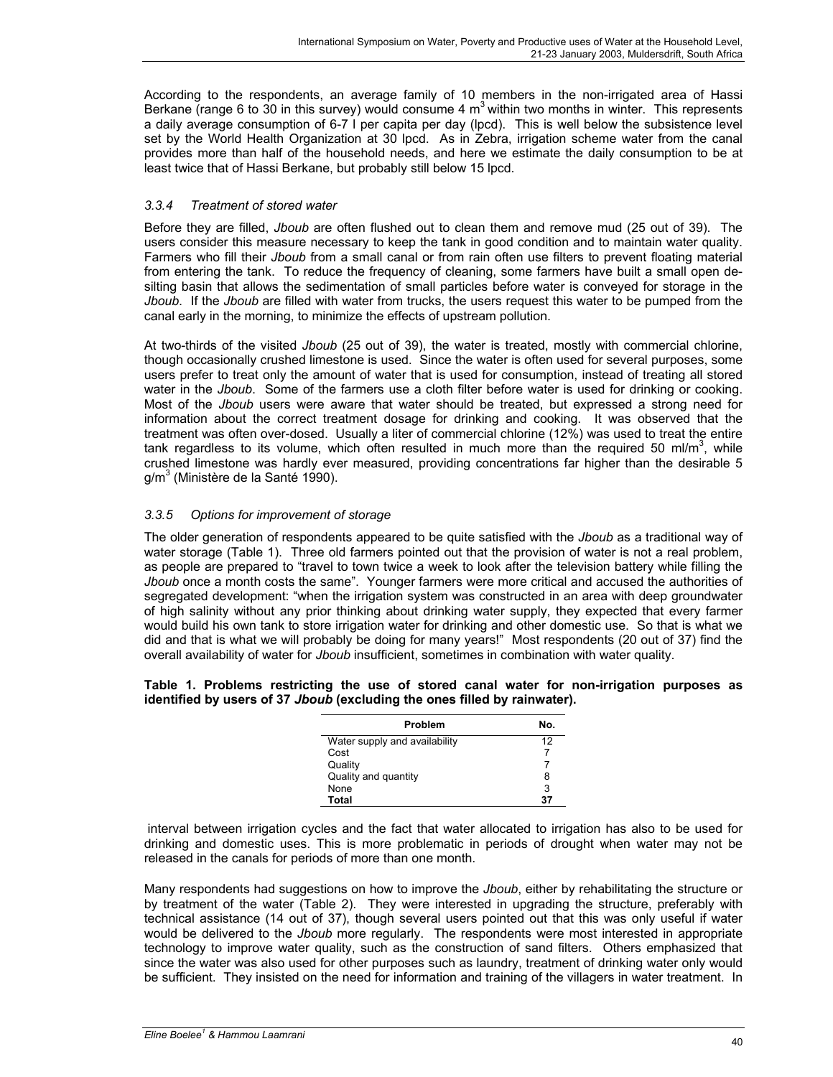According to the respondents, an average family of 10 members in the non-irrigated area of Hassi Berkane (range 6 to 30 in this survey) would consume 4  $m<sup>3</sup>$  within two months in winter. This represents a daily average consumption of 6-7 l per capita per day (lpcd). This is well below the subsistence level set by the World Health Organization at 30 lpcd. As in Zebra, irrigation scheme water from the canal provides more than half of the household needs, and here we estimate the daily consumption to be at least twice that of Hassi Berkane, but probably still below 15 lpcd.

## *3.3.4 Treatment of stored water*

Before they are filled, *Jboub* are often flushed out to clean them and remove mud (25 out of 39). The users consider this measure necessary to keep the tank in good condition and to maintain water quality. Farmers who fill their *Jboub* from a small canal or from rain often use filters to prevent floating material from entering the tank. To reduce the frequency of cleaning, some farmers have built a small open desilting basin that allows the sedimentation of small particles before water is conveyed for storage in the *Jboub*. If the *Jboub* are filled with water from trucks, the users request this water to be pumped from the canal early in the morning, to minimize the effects of upstream pollution.

At two-thirds of the visited *Jboub* (25 out of 39), the water is treated, mostly with commercial chlorine, though occasionally crushed limestone is used. Since the water is often used for several purposes, some users prefer to treat only the amount of water that is used for consumption, instead of treating all stored water in the *Jboub*. Some of the farmers use a cloth filter before water is used for drinking or cooking. Most of the *Jboub* users were aware that water should be treated, but expressed a strong need for information about the correct treatment dosage for drinking and cooking. It was observed that the treatment was often over-dosed. Usually a liter of commercial chlorine (12%) was used to treat the entire tank regardless to its volume, which often resulted in much more than the required 50 ml/m<sup>3</sup>, while crushed limestone was hardly ever measured, providing concentrations far higher than the desirable 5 g/m<sup>3</sup> (Ministère de la Santé 1990).

## *3.3.5 Options for improvement of storage*

The older generation of respondents appeared to be quite satisfied with the *Jboub* as a traditional way of water storage (Table 1). Three old farmers pointed out that the provision of water is not a real problem, as people are prepared to "travel to town twice a week to look after the television battery while filling the *Jboub* once a month costs the same". Younger farmers were more critical and accused the authorities of segregated development: "when the irrigation system was constructed in an area with deep groundwater of high salinity without any prior thinking about drinking water supply, they expected that every farmer would build his own tank to store irrigation water for drinking and other domestic use. So that is what we did and that is what we will probably be doing for many years!" Most respondents (20 out of 37) find the overall availability of water for *Jboub* insufficient, sometimes in combination with water quality.

#### **Table 1. Problems restricting the use of stored canal water for non-irrigation purposes as identified by users of 37** *Jboub* **(excluding the ones filled by rainwater).**

| Problem                       | N٥. |
|-------------------------------|-----|
| Water supply and availability | 12  |
| Cost                          |     |
| Quality                       |     |
| Quality and quantity          | 8   |
| None                          | 3   |
| Total                         | 37  |

 interval between irrigation cycles and the fact that water allocated to irrigation has also to be used for drinking and domestic uses. This is more problematic in periods of drought when water may not be released in the canals for periods of more than one month.

Many respondents had suggestions on how to improve the *Jboub*, either by rehabilitating the structure or by treatment of the water (Table 2). They were interested in upgrading the structure, preferably with technical assistance (14 out of 37), though several users pointed out that this was only useful if water would be delivered to the *Jboub* more regularly. The respondents were most interested in appropriate technology to improve water quality, such as the construction of sand filters. Others emphasized that since the water was also used for other purposes such as laundry, treatment of drinking water only would be sufficient. They insisted on the need for information and training of the villagers in water treatment. In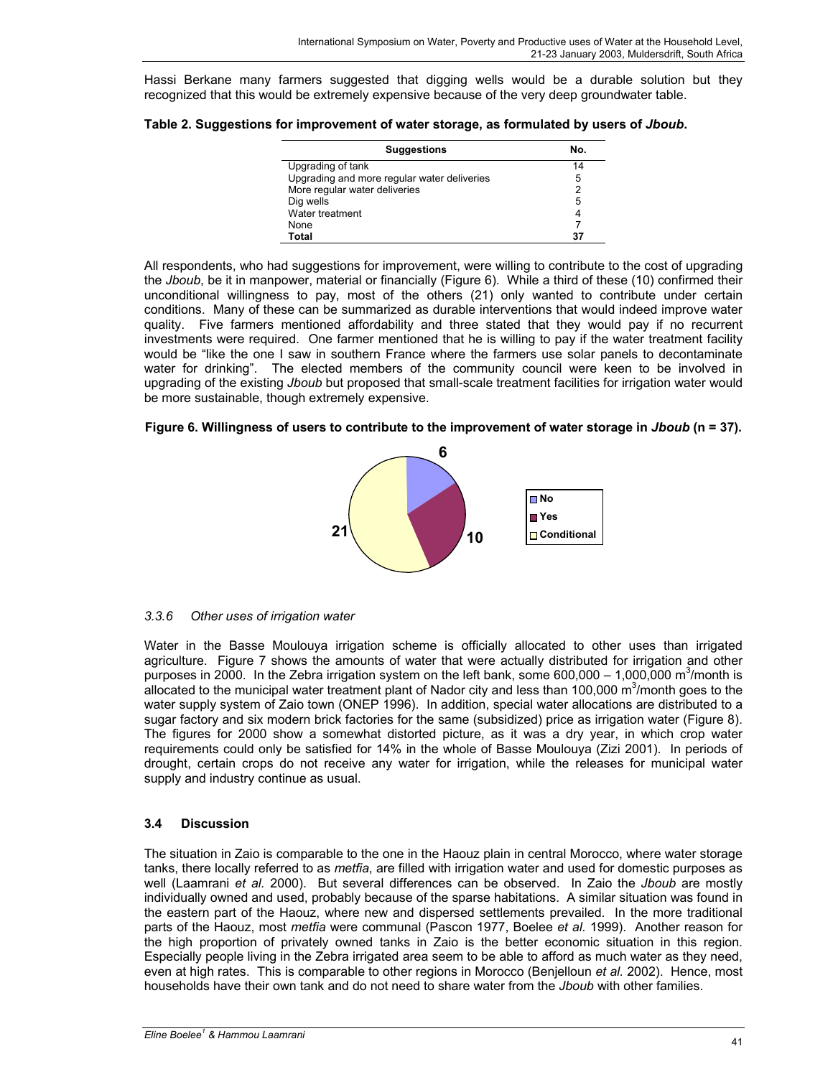Hassi Berkane many farmers suggested that digging wells would be a durable solution but they recognized that this would be extremely expensive because of the very deep groundwater table.

| <b>Suggestions</b>                          | Nο. |
|---------------------------------------------|-----|
| Upgrading of tank                           | 14  |
| Upgrading and more regular water deliveries | 5   |
| More regular water deliveries               | 2   |
| Dig wells                                   | 5   |
| Water treatment                             |     |
| None                                        |     |
| Total                                       |     |

All respondents, who had suggestions for improvement, were willing to contribute to the cost of upgrading the *Jboub*, be it in manpower, material or financially (Figure 6). While a third of these (10) confirmed their unconditional willingness to pay, most of the others (21) only wanted to contribute under certain conditions. Many of these can be summarized as durable interventions that would indeed improve water quality. Five farmers mentioned affordability and three stated that they would pay if no recurrent investments were required. One farmer mentioned that he is willing to pay if the water treatment facility would be "like the one I saw in southern France where the farmers use solar panels to decontaminate water for drinking". The elected members of the community council were keen to be involved in upgrading of the existing *Jboub* but proposed that small-scale treatment facilities for irrigation water would be more sustainable, though extremely expensive.





#### *3.3.6 Other uses of irrigation water*

Water in the Basse Moulouya irrigation scheme is officially allocated to other uses than irrigated agriculture. Figure 7 shows the amounts of water that were actually distributed for irrigation and other purposes in 2000. In the Zebra irrigation system on the left bank, some 600,000 – 1,000,000 m<sup>3</sup>/month is allocated to the municipal water treatment plant of Nador city and less than 100,000  $\text{m}^3/\text{month}$  goes to the water supply system of Zaio town (ONEP 1996). In addition, special water allocations are distributed to a sugar factory and six modern brick factories for the same (subsidized) price as irrigation water (Figure 8). The figures for 2000 show a somewhat distorted picture, as it was a dry year, in which crop water requirements could only be satisfied for 14% in the whole of Basse Moulouya (Zizi 2001). In periods of drought, certain crops do not receive any water for irrigation, while the releases for municipal water supply and industry continue as usual.

## **3.4 Discussion**

The situation in Zaio is comparable to the one in the Haouz plain in central Morocco, where water storage tanks, there locally referred to as *metfia*, are filled with irrigation water and used for domestic purposes as well (Laamrani *et al.* 2000). But several differences can be observed. In Zaio the *Jboub* are mostly individually owned and used, probably because of the sparse habitations. A similar situation was found in the eastern part of the Haouz, where new and dispersed settlements prevailed. In the more traditional parts of the Haouz, most *metfia* were communal (Pascon 1977, Boelee *et al.* 1999). Another reason for the high proportion of privately owned tanks in Zaio is the better economic situation in this region. Especially people living in the Zebra irrigated area seem to be able to afford as much water as they need, even at high rates. This is comparable to other regions in Morocco (Benjelloun *et al.* 2002). Hence, most households have their own tank and do not need to share water from the *Jboub* with other families.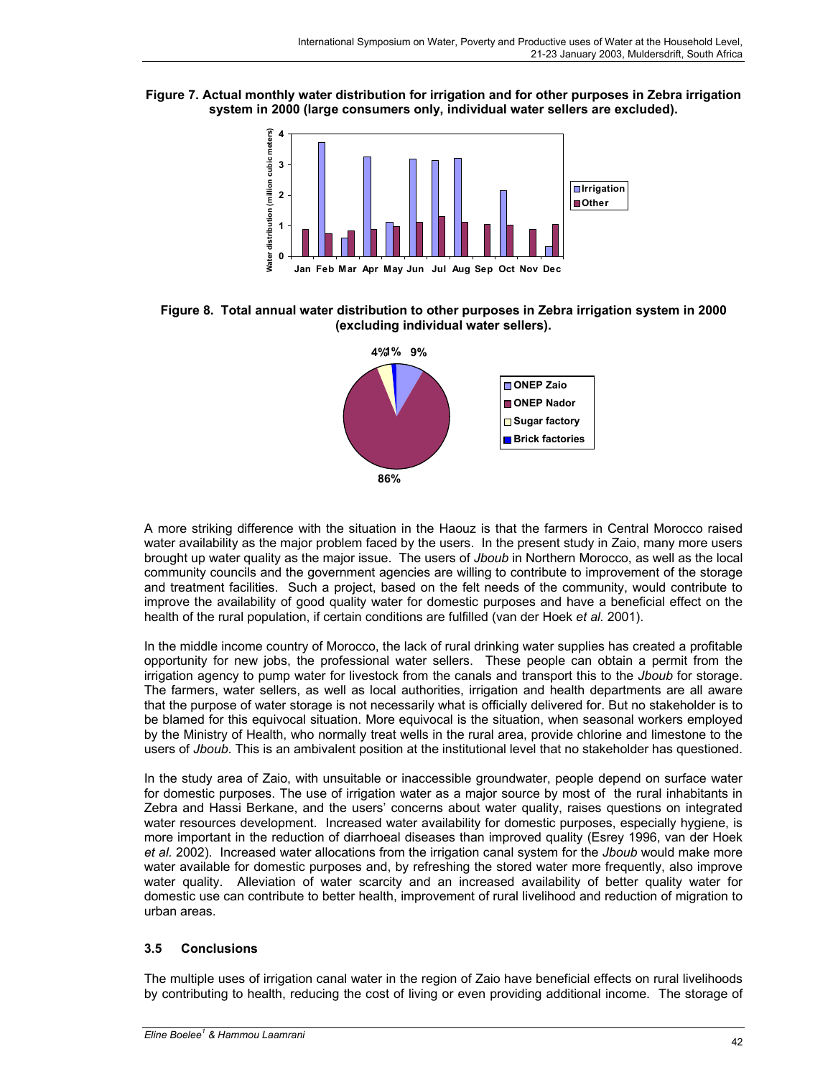**Figure 7. Actual monthly water distribution for irrigation and for other purposes in Zebra irrigation system in 2000 (large consumers only, individual water sellers are excluded).** 



**Figure 8. Total annual water distribution to other purposes in Zebra irrigation system in 2000 (excluding individual water sellers).** 



A more striking difference with the situation in the Haouz is that the farmers in Central Morocco raised water availability as the major problem faced by the users. In the present study in Zaio, many more users brought up water quality as the major issue. The users of *Jboub* in Northern Morocco, as well as the local community councils and the government agencies are willing to contribute to improvement of the storage and treatment facilities. Such a project, based on the felt needs of the community, would contribute to improve the availability of good quality water for domestic purposes and have a beneficial effect on the health of the rural population, if certain conditions are fulfilled (van der Hoek *et al.* 2001).

In the middle income country of Morocco, the lack of rural drinking water supplies has created a profitable opportunity for new jobs, the professional water sellers. These people can obtain a permit from the irrigation agency to pump water for livestock from the canals and transport this to the *Jboub* for storage. The farmers, water sellers, as well as local authorities, irrigation and health departments are all aware that the purpose of water storage is not necessarily what is officially delivered for. But no stakeholder is to be blamed for this equivocal situation. More equivocal is the situation, when seasonal workers employed by the Ministry of Health, who normally treat wells in the rural area, provide chlorine and limestone to the users of *Jboub*. This is an ambivalent position at the institutional level that no stakeholder has questioned.

In the study area of Zaio, with unsuitable or inaccessible groundwater, people depend on surface water for domestic purposes. The use of irrigation water as a major source by most of the rural inhabitants in Zebra and Hassi Berkane, and the users' concerns about water quality, raises questions on integrated water resources development. Increased water availability for domestic purposes, especially hygiene, is more important in the reduction of diarrhoeal diseases than improved quality (Esrey 1996, van der Hoek *et al.* 2002). Increased water allocations from the irrigation canal system for the *Jboub* would make more water available for domestic purposes and, by refreshing the stored water more frequently, also improve water quality. Alleviation of water scarcity and an increased availability of better quality water for domestic use can contribute to better health, improvement of rural livelihood and reduction of migration to urban areas.

## **3.5 Conclusions**

The multiple uses of irrigation canal water in the region of Zaio have beneficial effects on rural livelihoods by contributing to health, reducing the cost of living or even providing additional income. The storage of